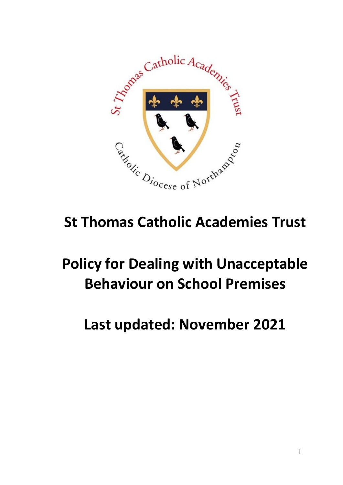

## **St Thomas Catholic Academies Trust**

# **Policy for Dealing with Unacceptable Behaviour on School Premises**

**Last updated: November 2021**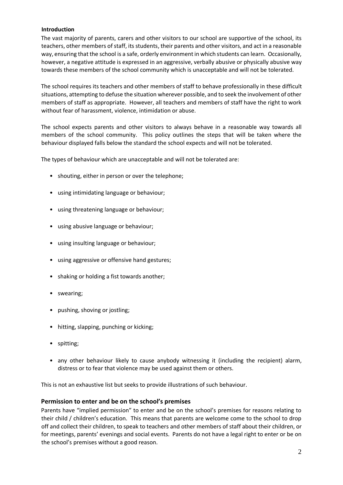## **Introduction**

The vast majority of parents, carers and other visitors to our school are supportive of the school, its teachers, other members of staff, its students, their parents and other visitors, and act in a reasonable way, ensuring that the school is a safe, orderly environment in which students can learn. Occasionally, however, a negative attitude is expressed in an aggressive, verbally abusive or physically abusive way towards these members of the school community which is unacceptable and will not be tolerated.

The school requires its teachers and other members of staff to behave professionally in these difficult situations, attempting to defuse the situation wherever possible, and to seek the involvement of other members of staff as appropriate. However, all teachers and members of staff have the right to work without fear of harassment, violence, intimidation or abuse.

The school expects parents and other visitors to always behave in a reasonable way towards all members of the school community. This policy outlines the steps that will be taken where the behaviour displayed falls below the standard the school expects and will not be tolerated.

The types of behaviour which are unacceptable and will not be tolerated are:

- shouting, either in person or over the telephone;
- using intimidating language or behaviour;
- using threatening language or behaviour;
- using abusive language or behaviour;
- using insulting language or behaviour;
- using aggressive or offensive hand gestures;
- shaking or holding a fist towards another;
- swearing;
- pushing, shoving or jostling;
- hitting, slapping, punching or kicking;
- spitting;
- any other behaviour likely to cause anybody witnessing it (including the recipient) alarm, distress or to fear that violence may be used against them or others.

This is not an exhaustive list but seeks to provide illustrations of such behaviour.

#### **Permission to enter and be on the school's premises**

Parents have "implied permission" to enter and be on the school's premises for reasons relating to their child / children's education. This means that parents are welcome come to the school to drop off and collect their children, to speak to teachers and other members of staff about their children, or for meetings, parents' evenings and social events. Parents do not have a legal right to enter or be on the school's premises without a good reason.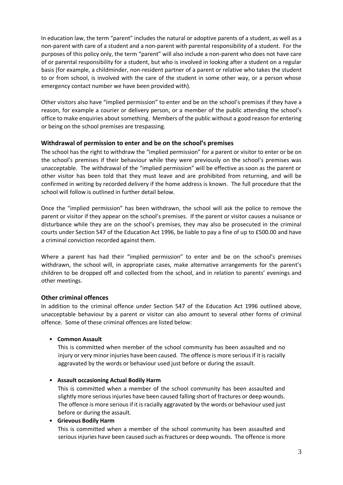In education law, the term "parent" includes the natural or adoptive parents of a student, as well as a non-parent with care of a student and a non-parent with parental responsibility of a student. For the purposes of this policy only, the term "parent" will also include a non-parent who does not have care of or parental responsibility for a student, but who is involved in looking after a student on a regular basis (for example, a childminder, non-resident partner of a parent or relative who takes the student to or from school, is involved with the care of the student in some other way, or a person whose emergency contact number we have been provided with).

Other visitors also have "implied permission" to enter and be on the school's premises if they have a reason, for example a courier or delivery person, or a member of the public attending the school's office to make enquiries about something. Members of the public without a good reason for entering or being on the school premises are trespassing.

## **Withdrawal of permission to enter and be on the school's premises**

The school has the right to withdraw the "implied permission" for a parent or visitor to enter or be on the school's premises if their behaviour while they were previously on the school's premises was unacceptable. The withdrawal of the "implied permission" will be effective as soon as the parent or other visitor has been told that they must leave and are prohibited from returning, and will be confirmed in writing by recorded delivery if the home address is known. The full procedure that the school will follow is outlined in further detail below.

Once the "implied permission" has been withdrawn, the school will ask the police to remove the parent or visitor if they appear on the school's premises. If the parent or visitor causes a nuisance or disturbance while they are on the school's premises, they may also be prosecuted in the criminal courts under Section 547 of the Education Act 1996, be liable to pay a fine of up to £500.00 and have a criminal conviction recorded against them.

Where a parent has had their "implied permission" to enter and be on the school's premises withdrawn, the school will, in appropriate cases, make alternative arrangements for the parent's children to be dropped off and collected from the school, and in relation to parents' evenings and other meetings.

## **Other criminal offences**

In addition to the criminal offence under Section 547 of the Education Act 1996 outlined above, unacceptable behaviour by a parent or visitor can also amount to several other forms of criminal offence. Some of these criminal offences are listed below:

#### • **Common Assault**

This is committed when member of the school community has been assaulted and no injury or very minor injuries have been caused. The offence is more serious if it is racially aggravated by the words or behaviour used just before or during the assault.

#### • **Assault occasioning Actual Bodily Harm**

This is committed when a member of the school community has been assaulted and slightly more serious injuries have been caused falling short of fractures or deep wounds. The offence is more serious if it is racially aggravated by the words or behaviour used just before or during the assault.

#### • **Grievous Bodily Harm**

This is committed when a member of the school community has been assaulted and serious injuries have been caused such as fractures or deep wounds. The offence is more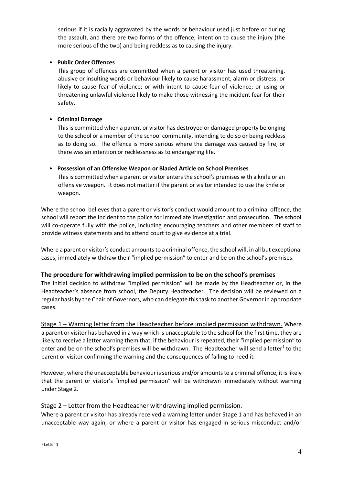serious if it is racially aggravated by the words or behaviour used just before or during the assault, and there are two forms of the offence; intention to cause the injury (the more serious of the two) and being reckless as to causing the injury.

## • **Public Order Offences**

This group of offences are committed when a parent or visitor has used threatening, abusive or insulting words or behaviour likely to cause harassment, alarm or distress; or likely to cause fear of violence; or with intent to cause fear of violence; or using or threatening unlawful violence likely to make those witnessing the incident fear for their safety.

## • **Criminal Damage**

This is committed when a parent or visitor has destroyed or damaged property belonging to the school or a member of the school community, intending to do so or being reckless as to doing so. The offence is more serious where the damage was caused by fire, or there was an intention or recklessness as to endangering life.

## • **Possession of an Offensive Weapon or Bladed Article on School Premises**

This is committed when a parent or visitor enters the school's premises with a knife or an offensive weapon. It does not matter if the parent or visitor intended to use the knife or weapon.

Where the school believes that a parent or visitor's conduct would amount to a criminal offence, the school will report the incident to the police for immediate investigation and prosecution. The school will co-operate fully with the police, including encouraging teachers and other members of staff to provide witness statements and to attend court to give evidence at a trial.

Where a parent or visitor's conduct amounts to a criminal offence, the school will, in all but exceptional cases, immediately withdraw their "implied permission" to enter and be on the school's premises.

## **The procedure for withdrawing implied permission to be on the school's premises**

The initial decision to withdraw "implied permission" will be made by the Headteacher or, in the Headteacher's absence from school, the Deputy Headteacher. The decision will be reviewed on a regular basis by the Chair of Governors, who can delegate this task to another Governor in appropriate cases.

Stage 1 – Warning letter from the Headteacher before implied permission withdrawn. Where a parent or visitor has behaved in a way which is unacceptable to the school for the first time, they are likely to receive a letter warning them that, if the behaviour is repeated, their "implied permission" to enter and be on the school's premises will be withdrawn. The Headteacher will send a letter<sup>1</sup> to the parent or visitor confirming the warning and the consequences of failing to heed it.

However, where the unacceptable behaviour is serious and/or amounts to a criminal offence, it is likely that the parent or visitor's "implied permission" will be withdrawn immediately without warning under Stage 2.

## Stage 2 – Letter from the Headteacher withdrawing implied permission.

Where a parent or visitor has already received a warning letter under Stage 1 and has behaved in an unacceptable way again, or where a parent or visitor has engaged in serious misconduct and/or

1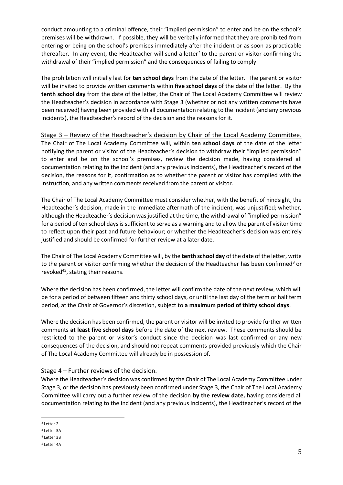conduct amounting to a criminal offence, their "implied permission" to enter and be on the school's premises will be withdrawn. If possible, they will be verbally informed that they are prohibited from entering or being on the school's premises immediately after the incident or as soon as practicable thereafter. In any event, the Headteacher will send a letter<sup>2</sup> to the parent or visitor confirming the withdrawal of their "implied permission" and the consequences of failing to comply.

The prohibition will initially last for **ten school days** from the date of the letter. The parent or visitor will be invited to provide written comments within **five school days** of the date of the letter. By the **tenth school day** from the date of the letter, the Chair of The Local Academy Committee will review the Headteacher's decision in accordance with Stage 3 (whether or not any written comments have been received) having been provided with all documentation relating to the incident (and any previous incidents), the Headteacher's record of the decision and the reasons for it.

Stage 3 – Review of the Headteacher's decision by Chair of the Local Academy Committee. The Chair of The Local Academy Committee will, within **ten school days** of the date of the letter notifying the parent or visitor of the Headteacher's decision to withdraw their "implied permission" to enter and be on the school's premises, review the decision made, having considered all documentation relating to the incident (and any previous incidents), the Headteacher's record of the decision, the reasons for it, confirmation as to whether the parent or visitor has complied with the instruction, and any written comments received from the parent or visitor.

The Chair of The Local Academy Committee must consider whether, with the benefit of hindsight, the Headteacher's decision, made in the immediate aftermath of the incident, was unjustified; whether, although the Headteacher's decision was justified at the time, the withdrawal of "implied permission" for a period of ten school days is sufficient to serve as a warning and to allow the parent of visitor time to reflect upon their past and future behaviour; or whether the Headteacher's decision was entirely justified and should be confirmed for further review at a later date.

The Chair of The Local Academy Committee will, by the **tenth school day** of the date of the letter, write to the parent or visitor confirming whether the decision of the Headteacher has been confirmed<sup>3</sup> or revoked<sup>45</sup>, stating their reasons.

Where the decision has been confirmed, the letter will confirm the date of the next review, which will be for a period of between fifteen and thirty school days, or until the last day of the term or half term period, at the Chair of Governor's discretion, subject to **a maximum period of thirty school days**.

Where the decision has been confirmed, the parent or visitor will be invited to provide further written comments **at least five school days** before the date of the next review. These comments should be restricted to the parent or visitor's conduct since the decision was last confirmed or any new consequences of the decision, and should not repeat comments provided previously which the Chair of The Local Academy Committee will already be in possession of.

## Stage 4 – Further reviews of the decision.

Where the Headteacher's decision was confirmed by the Chair of The Local Academy Committee under Stage 3, or the decision has previously been confirmed under Stage 3, the Chair of The Local Academy Committee will carry out a further review of the decision **by the review date,** having considered all documentation relating to the incident (and any previous incidents), the Headteacher's record of the

1

<sup>2</sup> Letter 2

<sup>3</sup> Letter 3A

<sup>4</sup> Letter 3B

<sup>5</sup> Letter 4A